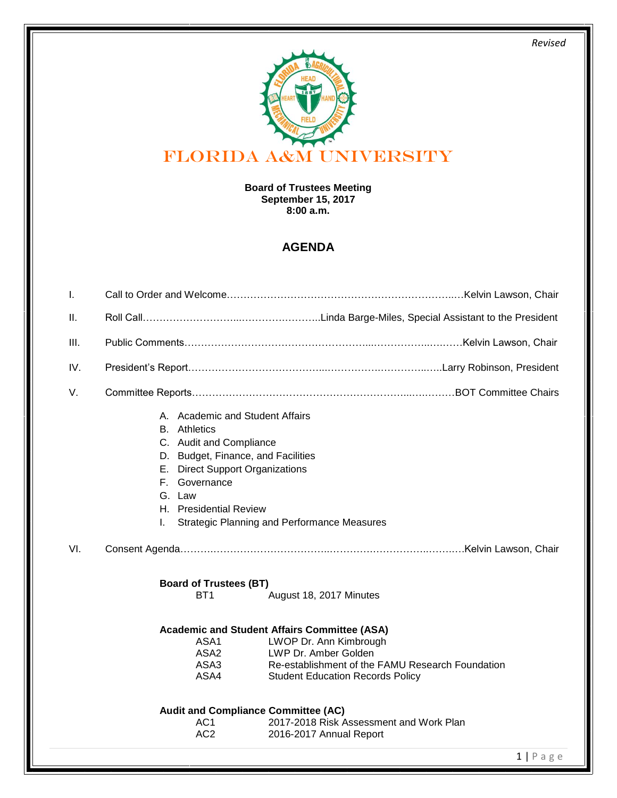*Revised* 



## **Board of Trustees Meeting September 15, 2017 8:00 a.m.**

## **AGENDA**

| T.   |                                                                                                                                                                                                                                                                                                                     |
|------|---------------------------------------------------------------------------------------------------------------------------------------------------------------------------------------------------------------------------------------------------------------------------------------------------------------------|
| Ш.   |                                                                                                                                                                                                                                                                                                                     |
| III. |                                                                                                                                                                                                                                                                                                                     |
| IV.  |                                                                                                                                                                                                                                                                                                                     |
| V.   |                                                                                                                                                                                                                                                                                                                     |
|      | A. Academic and Student Affairs<br><b>B.</b> Athletics<br>C. Audit and Compliance<br>D. Budget, Finance, and Facilities<br>E. Direct Support Organizations<br>F. Governance<br>G. Law<br>H. Presidential Review<br><b>Strategic Planning and Performance Measures</b><br>I.                                         |
| VI.  |                                                                                                                                                                                                                                                                                                                     |
|      | <b>Board of Trustees (BT)</b><br>BT <sub>1</sub><br>August 18, 2017 Minutes<br><b>Academic and Student Affairs Committee (ASA)</b><br>LWOP Dr. Ann Kimbrough<br>ASA1<br>ASA2<br>LWP Dr. Amber Golden<br>ASA3<br>Re-establishment of the FAMU Research Foundation<br>ASA4<br><b>Student Education Records Policy</b> |
|      | <b>Audit and Compliance Committee (AC)</b><br>AC <sub>1</sub><br>2017-2018 Risk Assessment and Work Plan<br>AC <sub>2</sub><br>2016-2017 Annual Report                                                                                                                                                              |